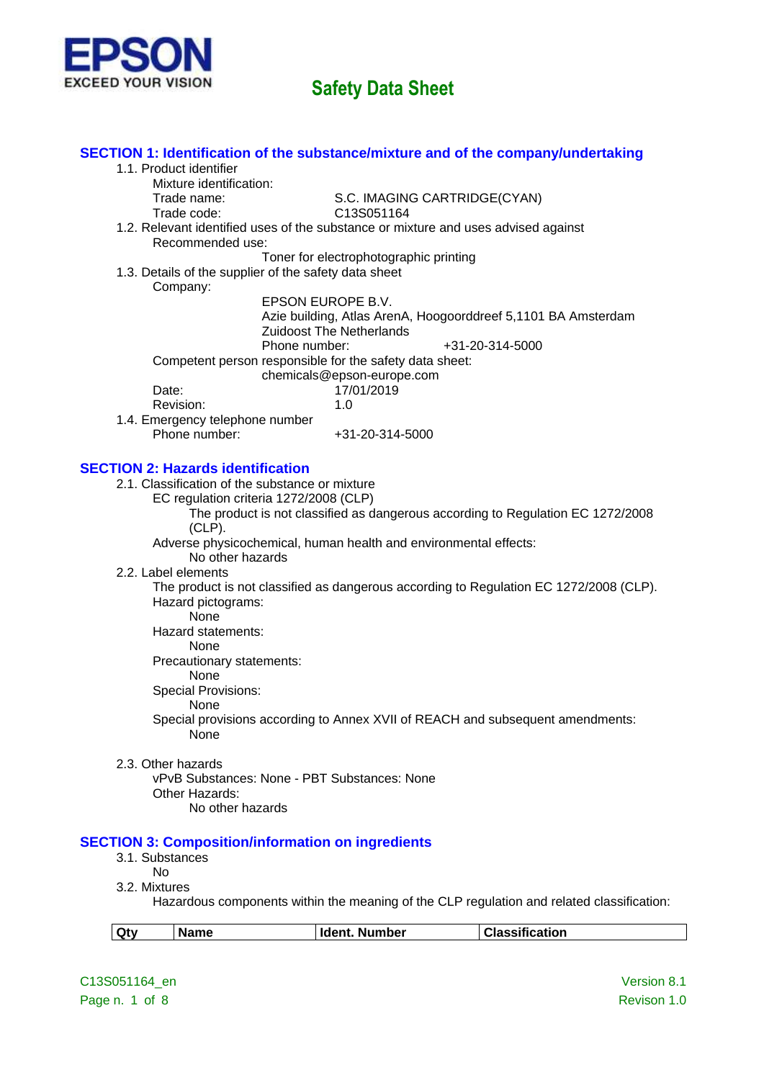

|                                                  | SECTION 1: Identification of the substance/mixture and of the company/undertaking      |                                                                                           |
|--------------------------------------------------|----------------------------------------------------------------------------------------|-------------------------------------------------------------------------------------------|
| 1.1. Product identifier                          |                                                                                        |                                                                                           |
| Mixture identification:                          |                                                                                        |                                                                                           |
| Trade name:                                      | S.C. IMAGING CARTRIDGE(CYAN)                                                           |                                                                                           |
| Trade code:                                      | C13S051164                                                                             |                                                                                           |
|                                                  | 1.2. Relevant identified uses of the substance or mixture and uses advised against     |                                                                                           |
| Recommended use:                                 |                                                                                        |                                                                                           |
|                                                  | Toner for electrophotographic printing                                                 |                                                                                           |
|                                                  | 1.3. Details of the supplier of the safety data sheet                                  |                                                                                           |
| Company:                                         |                                                                                        |                                                                                           |
|                                                  | EPSON EUROPE B.V.                                                                      |                                                                                           |
|                                                  | Azie building, Atlas ArenA, Hoogoorddreef 5,1101 BA Amsterdam                          |                                                                                           |
|                                                  | <b>Zuidoost The Netherlands</b>                                                        |                                                                                           |
|                                                  | Phone number:                                                                          | +31-20-314-5000                                                                           |
|                                                  | Competent person responsible for the safety data sheet:                                |                                                                                           |
|                                                  | chemicals@epson-europe.com                                                             |                                                                                           |
| Date:                                            | 17/01/2019                                                                             |                                                                                           |
| Revision:                                        | 1.0                                                                                    |                                                                                           |
| 1.4. Emergency telephone number<br>Phone number: | +31-20-314-5000                                                                        |                                                                                           |
|                                                  |                                                                                        |                                                                                           |
|                                                  |                                                                                        |                                                                                           |
| <b>SECTION 2: Hazards identification</b>         |                                                                                        |                                                                                           |
| 2.1. Classification of the substance or mixture  |                                                                                        |                                                                                           |
|                                                  | EC regulation criteria 1272/2008 (CLP)                                                 |                                                                                           |
|                                                  | The product is not classified as dangerous according to Regulation EC 1272/2008        |                                                                                           |
| $(CLP)$ .                                        |                                                                                        |                                                                                           |
|                                                  | Adverse physicochemical, human health and environmental effects:                       |                                                                                           |
| No other hazards                                 |                                                                                        |                                                                                           |
| 2.2. Label elements                              |                                                                                        |                                                                                           |
|                                                  | The product is not classified as dangerous according to Regulation EC 1272/2008 (CLP). |                                                                                           |
| Hazard pictograms:                               |                                                                                        |                                                                                           |
| None                                             |                                                                                        |                                                                                           |
| Hazard statements:                               |                                                                                        |                                                                                           |
| None                                             |                                                                                        |                                                                                           |
| Precautionary statements:                        |                                                                                        |                                                                                           |
| None                                             |                                                                                        |                                                                                           |
| <b>Special Provisions:</b>                       |                                                                                        |                                                                                           |
| None                                             |                                                                                        |                                                                                           |
|                                                  | Special provisions according to Annex XVII of REACH and subsequent amendments:         |                                                                                           |
| None                                             |                                                                                        |                                                                                           |
|                                                  |                                                                                        |                                                                                           |
| 2.3. Other hazards                               | vPvB Substances: None - PBT Substances: None                                           |                                                                                           |
|                                                  |                                                                                        |                                                                                           |
| Other Hazards:<br>No other hazards               |                                                                                        |                                                                                           |
|                                                  |                                                                                        |                                                                                           |
|                                                  |                                                                                        |                                                                                           |
|                                                  | <b>SECTION 3: Composition/information on ingredients</b>                               |                                                                                           |
| 3.1. Substances                                  |                                                                                        |                                                                                           |
| <b>No</b>                                        |                                                                                        |                                                                                           |
| 3.2. Mixtures                                    |                                                                                        |                                                                                           |
|                                                  |                                                                                        | Hazardous components within the meaning of the CLP regulation and related classification: |
|                                                  | Ident. Number                                                                          | <b>Classification</b>                                                                     |
| Qty<br><b>Name</b>                               |                                                                                        |                                                                                           |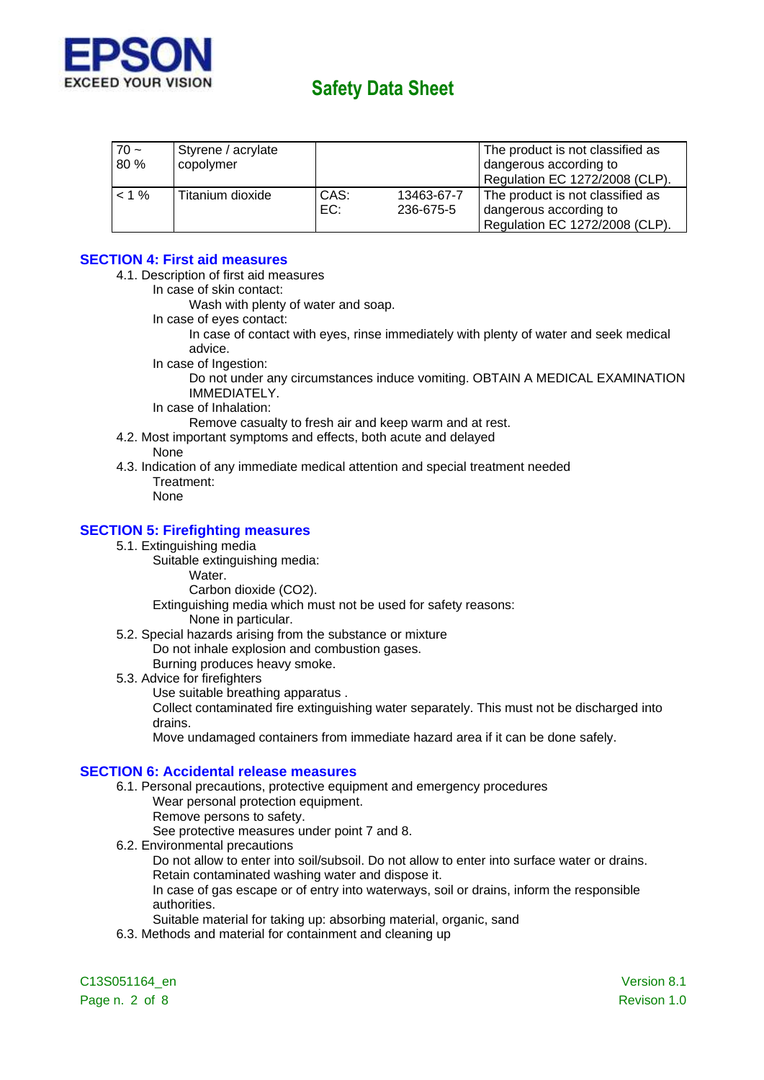

| $70 -$<br>80 % | Styrene / acrylate<br>copolymer |             |                         | The product is not classified as<br>dangerous according to<br>Regulation EC 1272/2008 (CLP). |
|----------------|---------------------------------|-------------|-------------------------|----------------------------------------------------------------------------------------------|
| $< 1 \%$       | Titanium dioxide                | CAS:<br>EC: | 13463-67-7<br>236-675-5 | The product is not classified as<br>dangerous according to<br>Regulation EC 1272/2008 (CLP). |

### **SECTION 4: First aid measures**

- 4.1. Description of first aid measures
	- In case of skin contact:

Wash with plenty of water and soap.

In case of eyes contact:

In case of contact with eyes, rinse immediately with plenty of water and seek medical advice.

In case of Ingestion:

Do not under any circumstances induce vomiting. OBTAIN A MEDICAL EXAMINATION IMMEDIATELY.

In case of Inhalation:

Remove casualty to fresh air and keep warm and at rest.

4.2. Most important symptoms and effects, both acute and delayed

#### None

4.3. Indication of any immediate medical attention and special treatment needed Treatment:

None

### **SECTION 5: Firefighting measures**

- 5.1. Extinguishing media
	- Suitable extinguishing media:

Water.

Carbon dioxide (CO2).

Extinguishing media which must not be used for safety reasons:

None in particular.

5.2. Special hazards arising from the substance or mixture Do not inhale explosion and combustion gases.

Burning produces heavy smoke.

- 5.3. Advice for firefighters
	- Use suitable breathing apparatus .

Collect contaminated fire extinguishing water separately. This must not be discharged into drains.

Move undamaged containers from immediate hazard area if it can be done safely.

#### **SECTION 6: Accidental release measures**

- 6.1. Personal precautions, protective equipment and emergency procedures Wear personal protection equipment.
	- Remove persons to safety.

See protective measures under point 7 and 8.

6.2. Environmental precautions

Do not allow to enter into soil/subsoil. Do not allow to enter into surface water or drains. Retain contaminated washing water and dispose it.

In case of gas escape or of entry into waterways, soil or drains, inform the responsible authorities.

Suitable material for taking up: absorbing material, organic, sand

6.3. Methods and material for containment and cleaning up

C13S051164\_en Version 8.1 Page n. 2 of 8 Revison 1.0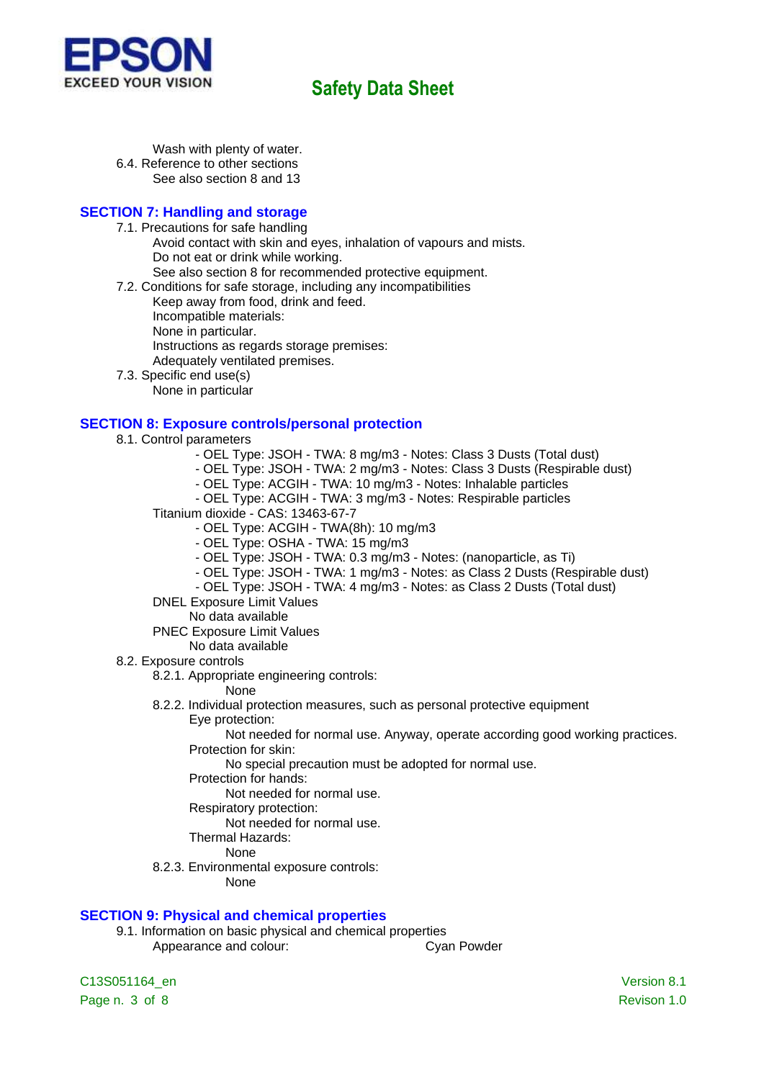

Wash with plenty of water. 6.4. Reference to other sections See also section 8 and 13

## **SECTION 7: Handling and storage**

- 7.1. Precautions for safe handling
	- Avoid contact with skin and eyes, inhalation of vapours and mists. Do not eat or drink while working.
	- See also section 8 for recommended protective equipment.
- 7.2. Conditions for safe storage, including any incompatibilities
	- Keep away from food, drink and feed.
		- Incompatible materials:
		- None in particular.
		- Instructions as regards storage premises:
	- Adequately ventilated premises.
- 7.3. Specific end use(s)
	- None in particular

### **SECTION 8: Exposure controls/personal protection**

- 8.1. Control parameters
	- OEL Type: JSOH TWA: 8 mg/m3 Notes: Class 3 Dusts (Total dust)
	- OEL Type: JSOH TWA: 2 mg/m3 Notes: Class 3 Dusts (Respirable dust)
	- OEL Type: ACGIH TWA: 10 mg/m3 Notes: Inhalable particles
	- OEL Type: ACGIH TWA: 3 mg/m3 Notes: Respirable particles
	- Titanium dioxide CAS: 13463-67-7
		- OEL Type: ACGIH TWA(8h): 10 mg/m3
		- OEL Type: OSHA TWA: 15 mg/m3
		- OEL Type: JSOH TWA: 0.3 mg/m3 Notes: (nanoparticle, as Ti)
		- OEL Type: JSOH TWA: 1 mg/m3 Notes: as Class 2 Dusts (Respirable dust)
		- OEL Type: JSOH TWA: 4 mg/m3 Notes: as Class 2 Dusts (Total dust)
	- DNEL Exposure Limit Values
		- No data available
	- PNEC Exposure Limit Values
	- No data available
- 8.2. Exposure controls
	- 8.2.1. Appropriate engineering controls:
		- None
	- 8.2.2. Individual protection measures, such as personal protective equipment
		- Eye protection:
			- Not needed for normal use. Anyway, operate according good working practices. Protection for skin:
				- No special precaution must be adopted for normal use.
			- Protection for hands:
				- Not needed for normal use.
			- Respiratory protection:
				- Not needed for normal use.
			- Thermal Hazards:
				- **None**
	- 8.2.3. Environmental exposure controls:
		- None

### **SECTION 9: Physical and chemical properties**

9.1. Information on basic physical and chemical properties Appearance and colour: Cyan Powder

C13S051164\_en Version 8.1 Page n. 3 of 8 Revison 1.0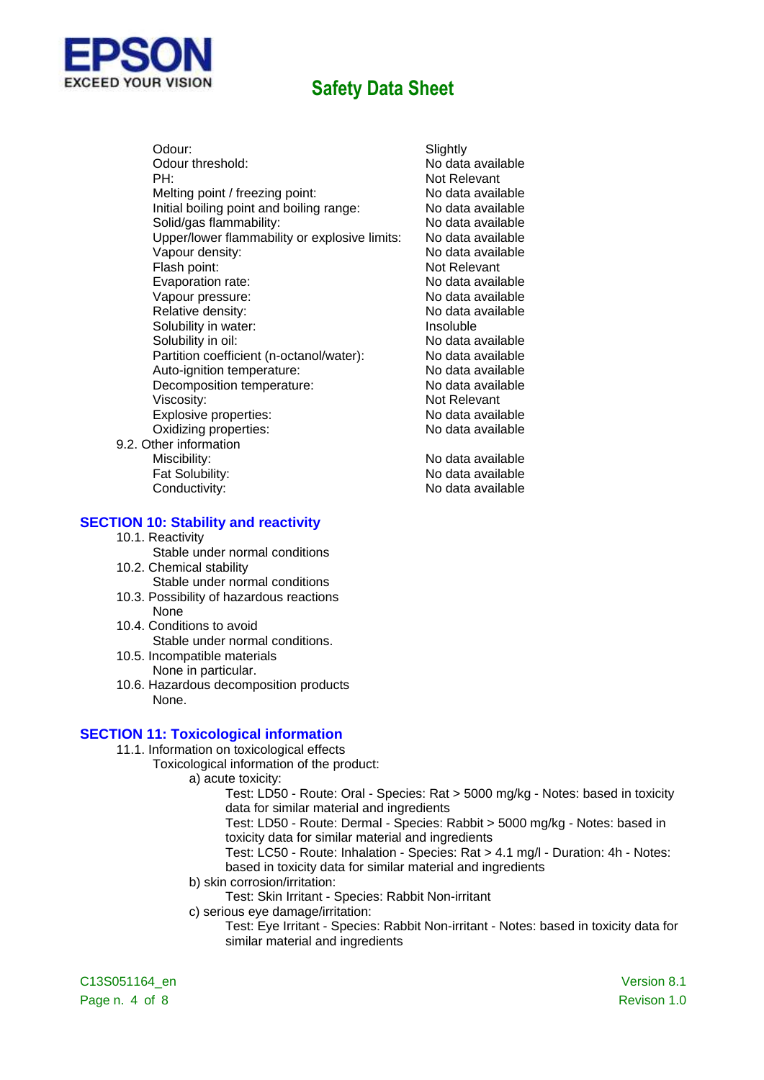



Not Relevant

Fat Solubility: No data available Conductivity: Conductivity:

#### **SECTION 10: Stability and reactivity**

10.1. Reactivity

**FD YOUR VISION** 

- Stable under normal conditions 10.2. Chemical stability
- Stable under normal conditions 10.3. Possibility of hazardous reactions
- None
- 10.4. Conditions to avoid Stable under normal conditions.
- 10.5. Incompatible materials None in particular.
- 10.6. Hazardous decomposition products None.

#### **SECTION 11: Toxicological information**

- 11.1. Information on toxicological effects
	- Toxicological information of the product:
		- a) acute toxicity:
			- Test: LD50 Route: Oral Species: Rat > 5000 mg/kg Notes: based in toxicity data for similar material and ingredients
			- Test: LD50 Route: Dermal Species: Rabbit > 5000 mg/kg Notes: based in toxicity data for similar material and ingredients
			- Test: LC50 Route: Inhalation Species: Rat > 4.1 mg/l Duration: 4h Notes: based in toxicity data for similar material and ingredients
		- b) skin corrosion/irritation:
			- Test: Skin Irritant Species: Rabbit Non-irritant
		- c) serious eye damage/irritation:
			- Test: Eye Irritant Species: Rabbit Non-irritant Notes: based in toxicity data for similar material and ingredients

C13S051164\_en Version 8.1 Page n. 4 of 8 Revison 1.0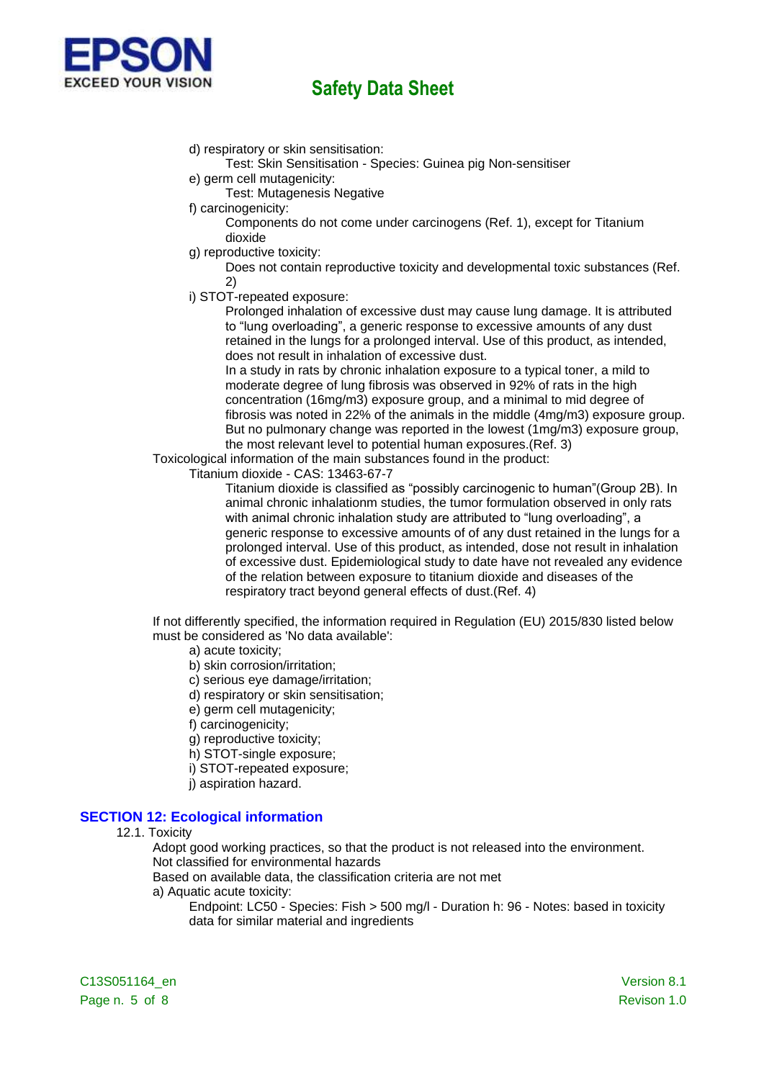

d) respiratory or skin sensitisation:

Test: Skin Sensitisation - Species: Guinea pig Non-sensitiser

- e) germ cell mutagenicity:
	- Test: Mutagenesis Negative
- f) carcinogenicity:

Components do not come under carcinogens (Ref. 1), except for Titanium dioxide

g) reproductive toxicity:

Does not contain reproductive toxicity and developmental toxic substances (Ref. 2)

i) STOT-repeated exposure:

Prolonged inhalation of excessive dust may cause lung damage. It is attributed to "lung overloading", a generic response to excessive amounts of any dust retained in the lungs for a prolonged interval. Use of this product, as intended, does not result in inhalation of excessive dust.

In a study in rats by chronic inhalation exposure to a typical toner, a mild to moderate degree of lung fibrosis was observed in 92% of rats in the high concentration (16mg/m3) exposure group, and a minimal to mid degree of fibrosis was noted in 22% of the animals in the middle (4mg/m3) exposure group. But no pulmonary change was reported in the lowest (1mg/m3) exposure group, the most relevant level to potential human exposures.(Ref. 3)

Toxicological information of the main substances found in the product:

Titanium dioxide - CAS: 13463-67-7

Titanium dioxide is classified as "possibly carcinogenic to human"(Group 2B). In animal chronic inhalationm studies, the tumor formulation observed in only rats with animal chronic inhalation study are attributed to "lung overloading", a generic response to excessive amounts of of any dust retained in the lungs for a prolonged interval. Use of this product, as intended, dose not result in inhalation of excessive dust. Epidemiological study to date have not revealed any evidence of the relation between exposure to titanium dioxide and diseases of the respiratory tract beyond general effects of dust.(Ref. 4)

If not differently specified, the information required in Regulation (EU) 2015/830 listed below must be considered as 'No data available':

- a) acute toxicity;
- b) skin corrosion/irritation;
- c) serious eye damage/irritation;
- d) respiratory or skin sensitisation;
- e) germ cell mutagenicity;
- f) carcinogenicity;
- g) reproductive toxicity;
- h) STOT-single exposure;
- i) STOT-repeated exposure;
- j) aspiration hazard.

## **SECTION 12: Ecological information**

#### 12.1. Toxicity

Adopt good working practices, so that the product is not released into the environment. Not classified for environmental hazards

Based on available data, the classification criteria are not met

- a) Aquatic acute toxicity:
	- Endpoint: LC50 Species: Fish > 500 mg/l Duration h: 96 Notes: based in toxicity data for similar material and ingredients

C13S051164\_en Version 8.1 Page n. 5 of 8 Revison 1.0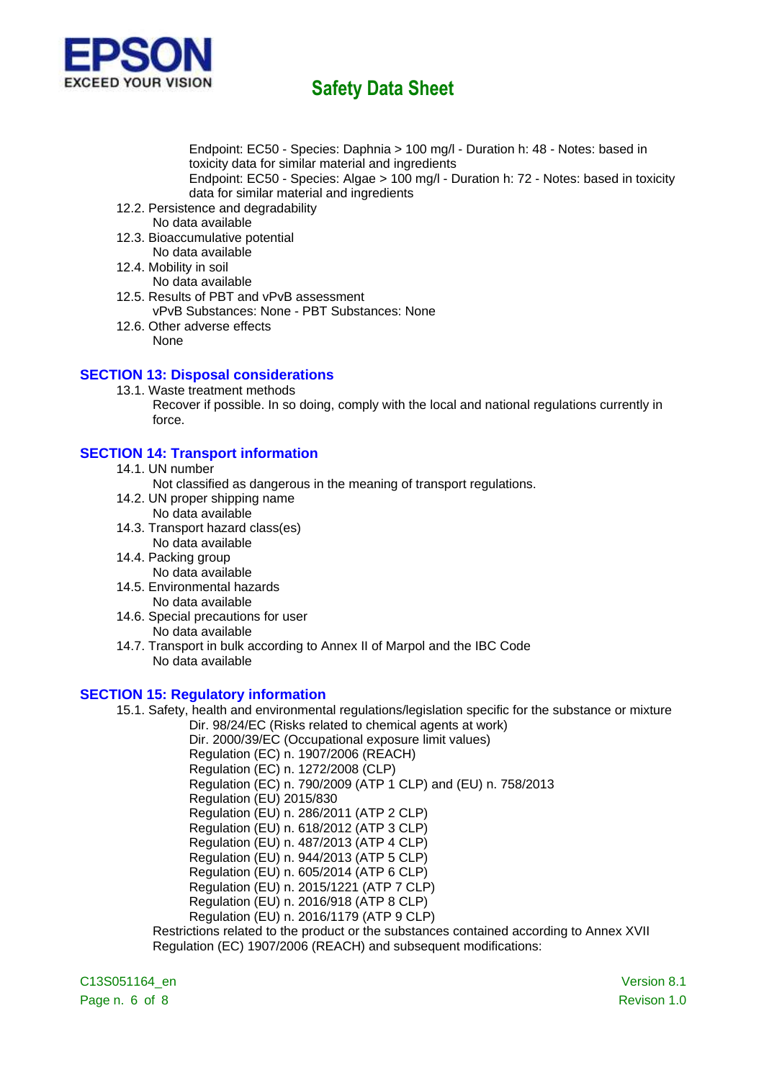

Endpoint: EC50 - Species: Daphnia > 100 mg/l - Duration h: 48 - Notes: based in toxicity data for similar material and ingredients Endpoint: EC50 - Species: Algae > 100 mg/l - Duration h: 72 - Notes: based in toxicity data for similar material and ingredients

- 12.2. Persistence and degradability No data available
- 12.3. Bioaccumulative potential No data available
- 12.4. Mobility in soil
	- No data available
- 12.5. Results of PBT and vPvB assessment vPvB Substances: None - PBT Substances: None
- 12.6. Other adverse effects None

## **SECTION 13: Disposal considerations**

13.1. Waste treatment methods Recover if possible. In so doing, comply with the local and national regulations currently in force.

### **SECTION 14: Transport information**

- 14.1. UN number
	- Not classified as dangerous in the meaning of transport regulations.
- 14.2. UN proper shipping name No data available
- 14.3. Transport hazard class(es) No data available
- 14.4. Packing group
	- No data available
- 14.5. Environmental hazards No data available
- 14.6. Special precautions for user No data available
- 14.7. Transport in bulk according to Annex II of Marpol and the IBC Code No data available

### **SECTION 15: Regulatory information**

15.1. Safety, health and environmental regulations/legislation specific for the substance or mixture Dir. 98/24/EC (Risks related to chemical agents at work)

Dir. 2000/39/EC (Occupational exposure limit values) Regulation (EC) n. 1907/2006 (REACH) Regulation (EC) n. 1272/2008 (CLP) Regulation (EC) n. 790/2009 (ATP 1 CLP) and (EU) n. 758/2013 Regulation (EU) 2015/830 Regulation (EU) n. 286/2011 (ATP 2 CLP) Regulation (EU) n. 618/2012 (ATP 3 CLP) Regulation (EU) n. 487/2013 (ATP 4 CLP) Regulation (EU) n. 944/2013 (ATP 5 CLP) Regulation (EU) n. 605/2014 (ATP 6 CLP) Regulation (EU) n. 2015/1221 (ATP 7 CLP) Regulation (EU) n. 2016/918 (ATP 8 CLP) Regulation (EU) n. 2016/1179 (ATP 9 CLP) Restrictions related to the product or the substances contained according to Annex XVII Regulation (EC) 1907/2006 (REACH) and subsequent modifications:

C13S051164\_en Version 8.1 Page n. 6 of 8 Revison 1.0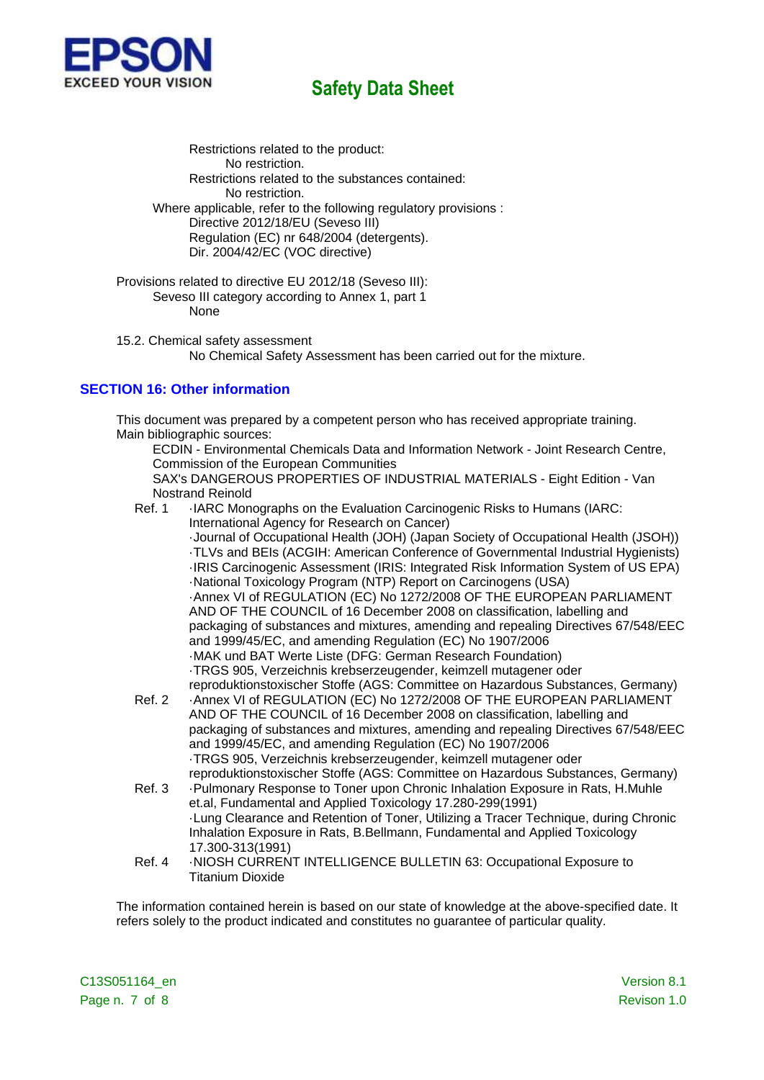

Restrictions related to the product: No restriction. Restrictions related to the substances contained: No restriction. Where applicable, refer to the following regulatory provisions : Directive 2012/18/EU (Seveso III) Regulation (EC) nr 648/2004 (detergents). Dir. 2004/42/EC (VOC directive)

Provisions related to directive EU 2012/18 (Seveso III): Seveso III category according to Annex 1, part 1 None

15.2. Chemical safety assessment No Chemical Safety Assessment has been carried out for the mixture.

## **SECTION 16: Other information**

This document was prepared by a competent person who has received appropriate training. Main bibliographic sources:

ECDIN - Environmental Chemicals Data and Information Network - Joint Research Centre, Commission of the European Communities SAX's DANGEROUS PROPERTIES OF INDUSTRIAL MATERIALS - Eight Edition - Van

- Nostrand Reinold
- Ref. 1 ·IARC Monographs on the Evaluation Carcinogenic Risks to Humans (IARC: International Agency for Research on Cancer)

·Journal of Occupational Health (JOH) (Japan Society of Occupational Health (JSOH)) ·TLVs and BEIs (ACGIH: American Conference of Governmental Industrial Hygienists) ·IRIS Carcinogenic Assessment (IRIS: Integrated Risk Information System of US EPA) ·National Toxicology Program (NTP) Report on Carcinogens (USA) ·Annex VI of REGULATION (EC) No 1272/2008 OF THE EUROPEAN PARLIAMENT AND OF THE COUNCIL of 16 December 2008 on classification, labelling and packaging of substances and mixtures, amending and repealing Directives 67/548/EEC and 1999/45/EC, and amending Regulation (EC) No 1907/2006 ·MAK und BAT Werte Liste (DFG: German Research Foundation) ·TRGS 905, Verzeichnis krebserzeugender, keimzell mutagener oder reproduktionstoxischer Stoffe (AGS: Committee on Hazardous Substances, Germany)

- Ref. 2 ·Annex VI of REGULATION (EC) No 1272/2008 OF THE EUROPEAN PARLIAMENT AND OF THE COUNCIL of 16 December 2008 on classification, labelling and packaging of substances and mixtures, amending and repealing Directives 67/548/EEC and 1999/45/EC, and amending Regulation (EC) No 1907/2006 ·TRGS 905, Verzeichnis krebserzeugender, keimzell mutagener oder reproduktionstoxischer Stoffe (AGS: Committee on Hazardous Substances, Germany)
- Ref. 3 ·Pulmonary Response to Toner upon Chronic Inhalation Exposure in Rats, H.Muhle et.al, Fundamental and Applied Toxicology 17.280-299(1991) ·Lung Clearance and Retention of Toner, Utilizing a Tracer Technique, during Chronic Inhalation Exposure in Rats, B.Bellmann, Fundamental and Applied Toxicology 17.300-313(1991)
- Ref. 4 NIOSH CURRENT INTELLIGENCE BULLETIN 63: Occupational Exposure to Titanium Dioxide

The information contained herein is based on our state of knowledge at the above-specified date. It refers solely to the product indicated and constitutes no guarantee of particular quality.

C13S051164\_en Version 8.1 Page n. 7 of 8 Revison 1.0